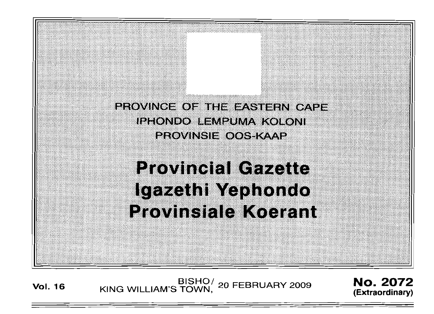PROVINCE OF THE EASTERN CAPE **IPHONDO LEMPUMA KOLONI** PROVINSIE OOS KAAP

**Provincial Gazette** Igazethi Yephondo **Provinsiale Koerant** 

**Vol. <sup>16</sup>** BISHO/ KING WILLIAM'S TOWN, <sup>20</sup> FEBRUARY <sup>2009</sup> No. 2072

**(Extraordinary)**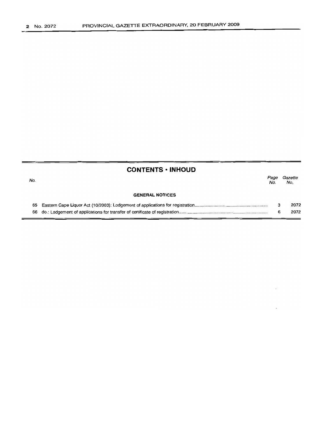No.

## **CONTENTS • INHOUD**

|  | Page Gazette<br>No. No. |
|--|-------------------------|
|  |                         |

 $\ddot{\phantom{a}}$ 

#### **GENERAL NOTICES**

|  | 2072 |
|--|------|
|  | 2072 |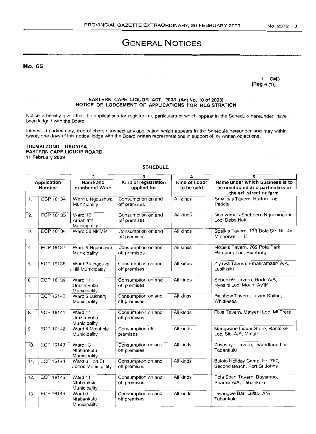# **GENERAL NOTICES**

No. 65

**1. CM3 [Reg 4 (1)]**

## **EASTERN CAPE LIQUOR ACT, 2003 (Act No. 10 of 2003) NOTICE OF LODGEMENT OF APPLICATIONS FOR REGISTRATION**

Notice is hereby given that the applications for registration, particulars of which appear in the Schedule hereunder, have been lodged with the Board.

Interested parties may, free of charge, inspect any application which appears in the Schedule hereunder and may within twenty one days of this notice, lodge with the Board written representations in support of, or written objections.

### **THEMBI ZONO - GXOVIVA EASTERN CAPE LIQUOR BOARD 11 February 2009**

## **SCHEDULE**

| 1<br>$\overline{2}$<br>3<br>5<br>4 |                                     |                                             |                                     |                              |                                                                                               |
|------------------------------------|-------------------------------------|---------------------------------------------|-------------------------------------|------------------------------|-----------------------------------------------------------------------------------------------|
|                                    | <b>Application</b><br><b>Number</b> | Name and<br>number of Ward                  | Kind of registration<br>applied for | Kind of liquor<br>to be sold | Name under which business is to<br>be conducted and particulars of<br>the erf, street or farm |
| $\mathbf{1}$ .                     | ECP 16134                           | Ward 8 Ngqushwa<br>Municipality             | Consumption on and<br>off premises  | All kinds                    | Sminky's Tavern, Hurton Loc.<br>Peddie                                                        |
| 2.                                 | ECP 16135                           | Ward 10<br>Amahlathi<br>Municipality        | Consumption on and<br>off premises  | All kinds                    | Nomzamo's Shebeen, Ngcamngeni<br>Loc. Debe Nek                                                |
| 3.                                 | <b>ECP 16136</b>                    | Ward 58 NMMM                                | Consumption on and<br>off premises  | All kinds                    | Speik's Tavern, 138 Bolo Str, NU 4a<br>Motherwell, PE                                         |
| 4.                                 | ECP 16137                           | Ward 9 Ngqushwa<br>Municipality             | Consumption on and<br>off premises  | All kinds                    | Nozie's Tavern, 766 Pola Park,<br>Hamburg Loc, Hamburg                                        |
| 5.                                 | <b>ECP 16138</b>                    | Ward 24 Ingquza<br><b>Hill Municipality</b> | Consumption on and<br>off premises  | All kinds                    | Ziyawa Tavern, Emakramzeni A/A,<br>Lusikisiki                                                 |
| 6.                                 | ECP 16139                           | Ward 11<br>Umzimvubu<br>Municipality        | Consumption on and<br>off premises  | All kinds                    | Sebenzile Tavern, Rode A/A,<br>Nyosini Loc, Mount Ayliff                                      |
| $\overline{7}$                     | ECP 16140                           | Ward 5 Lukhanji<br>Municipality             | Consumption on and<br>off premises  | All kinds                    | Rainbow Tavern, Lower Shilon,<br>Whittlesea                                                   |
| 8.                                 | ECP 16141                           | Ward 14<br>Umzimvubu<br>Municipality        | Consumption on and<br>off premises  | All kinds                    | Fixie Tavern, Matyeni Loc, Mt Frere                                                           |
| 9.                                 | ECP 16142                           | Ward 4 Matatiele<br>Municipality            | Consumption off<br>premises         | All kinds                    | Mangwane Liquor Store, Rantsike<br>Loc. Sibi A/A, Maluti                                      |
| 10.                                | ECP 16143                           | Ward 13<br>Ntabankulu<br>Municipality       | Consumption on and<br>off premises  | All kinds                    | Zanovuyo Tavern, Lwandlane Loc,<br>Tabankulu                                                  |
| 11.                                | <b>ECP 16144</b>                    | Ward 6 Port St<br>Johns Municipality        | Consumption on and<br>off premises  | All kinds                    | Bulolo Holiday Camp, Erf 767,<br>Second Beach, Port St Johns                                  |
| 12.                                | <b>ECP 16145</b>                    | Ward 11<br>Ntabankulu<br>Municipality       | Consumption on and<br>off premises  | All kinds                    | Pola Sport Tavern, Buyambo,<br>Bhanxa A/A, Tabankulu                                          |
| 13.                                | ECP 16146                           | Ward 9<br>Ntabankulu<br>Municipality        | Consumption on and<br>off premises  | All kinds                    | Dinangwe Bar, Lufafa A/A,<br>Tabankulu                                                        |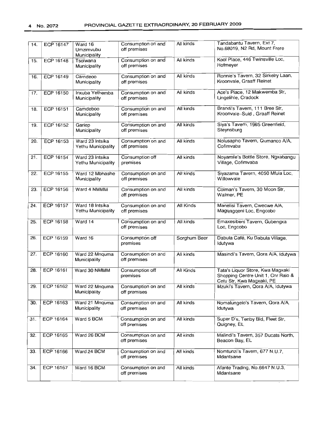| 14. | <b>ECP 16147</b> | Ward 16<br>Umzimvubu<br>Municipality  | Consumption on and<br>off premises | All kinds    | Tandabantu Tavern, Ext 7,<br>No.68019, N2 Rd, Mount Frere                                           |
|-----|------------------|---------------------------------------|------------------------------------|--------------|-----------------------------------------------------------------------------------------------------|
| 15. | <b>ECP 16148</b> | Tsolwana<br>Municipality              | Consumption on and<br>off premises | All kinds    | Kool Place, 446 Twinsville Loc,<br>Hofmeyer                                                         |
| 16. | <b>ECP 16149</b> | Carndeoo<br>Municipality              | Consumption on and<br>off premises | All kinds    | Ronnie's Tavern, 32 Sirkelry Laan,<br>Kroonvale, Graaff Reinet                                      |
| 17. | <b>ECP 16150</b> | Inxuba Yethemba<br>Municipality       | Consumption on and<br>off premises | All kinds    | Ace's Place, 12 Makwemba Str,<br>Lingelihle, Cradock                                                |
| 18. | <b>ECP 16151</b> | Camdeboo<br>Municipality              | Consumption on and<br>off premises | All kinds    | Brandi's Tavern, 111 Bree Str,<br>Kroonvale-Suid, Graaff Reinet                                     |
| 19. | ECP 16152        | Gariep<br>Municipality                | Consumption on and<br>off premises | All kinds    | Siya's Tavern, 1965 Greenfield,<br>Steynsburg                                                       |
| 20. | ECP 16153        | Ward 23 Intsika<br>Yethu Municipality | Consumption on and<br>off premises | All kinds    | Nolusapho Tavern, Qumanco A/A,<br>Cofimvaba                                                         |
| 21. | <b>ECP 16154</b> | Ward 23 Intsika<br>Yethu Municipality | Consumption off<br>premises        | All kinds    | Noyamile's Bottle Store, Ngxabangu<br>Village, Cofimvaba                                            |
| 22. | <b>ECP 16155</b> | Ward 12 Mbhashe<br>Municipality       | Consumption on and<br>off premises | All kinds    | Siyazama Tavern, 4050 Mfula Loc,<br>Willowvale                                                      |
| 23. | <b>ECP 16156</b> | Ward 4 NMMM                           | Consumption on and<br>off premises | All kinds    | Colman's Tavern, 30 Moon Str,<br>Walmer, PE                                                         |
| 24. | ECP 16157        | Ward 18 Intsika<br>Yethu Municipality | Consumption on and<br>off premises | All Kinds    | Manelisi Tavern, Cwecwe A/A,<br>Magqagqeni Loc, Engcobo                                             |
| 25. | ECP 16158        | Ward 14                               | Consumption on and<br>off premises | All kinds    | Emaxesibeni Tavern, Gubengxa<br>Loc, Engcobo                                                        |
| 26. | ECP 16159        | Ward 16                               | Consumption off<br>premises        | Sorghum Beer | Dabula Café, Ku Dabula Village,<br>Idutywa                                                          |
| 27. | <b>ECP 16160</b> | Ward 22 Mnquma<br>Municipality        | Consumption on and<br>off premises | All kinds    | Masindi's Tavern, Qora A/A, Idutywa                                                                 |
| 28. | ECP 16161        | Ward 30 NMMM                          | Consumption off<br>premises        | All Kinds    | Tata's Liquor Store, Kwa Magxaki<br>Shopping Centre Unit 1, Cnr Ralo &<br>Cetu Str, Kwa Magxaki, PE |
| 29. | ECP 16162        | Ward 22 Mnquma<br>Municipality        | Consumption on and<br>off premises | All kinds    | Mzuki's Tavern, Qora A/A, Idutywa                                                                   |
| 30. | <b>ECP 16163</b> | Ward 21 Mnquma<br>Municipality        | Consumption on and<br>off premises | All kinds    | Nomalungelo's Tavern, Qora A/A,<br>ldutywa                                                          |
| 31. | ECP 16164        | Ward 5 BCM                            | Consumption on and<br>off premises | All kinds    | Super D's, Tenby Bld, Fleet Str,<br>Quigney, EL                                                     |
| 32. | ECP 16165        | Ward 26 BCM                           | Consumption on and<br>off premises | All kinds    | Malindi's Tavern, 357 Ducats North,<br>Beacon Bay, EL                                               |
| 33. | <b>ECP 16166</b> | Ward 24 BCM                           | Consumption on and<br>off premises | All kinds    | Nomtunzi's Tavern, 677 N.U.7,<br>Mdantsane                                                          |
| 34. | ECP 16167        | Ward 16 BCM                           | Consumption on and<br>off premises | All kinds    | Afante Trading, No.6647 N.U.3,<br>Mdantsane                                                         |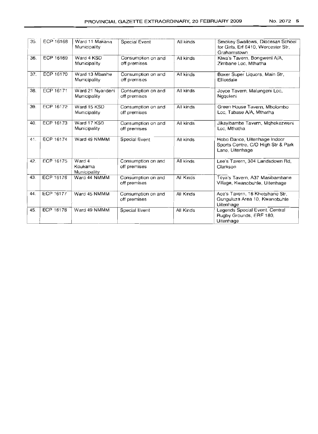| 35. | ECP 16168 | Ward 11 Makana<br>Municipality    | Special Event                      | All kinds | Smokey Swallows, Diocesan School<br>for Girls, Erf 6410, Worcester Str.<br>Grahamstown |
|-----|-----------|-----------------------------------|------------------------------------|-----------|----------------------------------------------------------------------------------------|
| 36. | ECP 16169 | Ward 4 KSD<br>Municipality        | Consumption on and<br>off premises | All kinds | Kiwa's Tavern, Bongweni A/A,<br>Zimbane Loc. Mthatha                                   |
| 37. | ECP 16170 | Ward 13 Mbashe<br>Municipality    | Consumption on and<br>off premises | All kinds | Boxer Super Liquors, Main Str,<br>Elliotdale                                           |
| 38. | ECP 16171 | Ward 21 Nyandeni<br>Municipality  | Consumption on and<br>off premises | All kinds | Joyce Tavern, Malungeni Loc,<br>Nageleni                                               |
| 39. | ECP 16172 | Ward 15 KSD<br>Municipality       | Consumption on and<br>off premises | All kinds | Green House Tavern, Mbolombo<br>Loc, Tabase A/A, Mthatha                               |
| 40. | ECP 16173 | Ward 17 KSD<br>Municipality       | Consumption on and<br>off premises | All kinds | Jikayibambe Tavern, Mqhekezweni<br>Loc. Mthatha                                        |
| 41. | ECP 16174 | Ward 49 NMMM                      | Special Event                      | Ali kinds | Hobo Dance, Uitenhage Indoor<br>Sports Centre, C/O High Str & Park<br>Lane, Uitenhage  |
| 42. | ECP 16175 | Ward 4<br>Koukama<br>Municipality | Consumption on and<br>off premises | All kinds | Lee's Tavern, 304 Landsdown Rd,<br>Clarkson                                            |
| 43. | ECP 16176 | Ward 44 NMMM                      | Consumption on and<br>off premises | All Kinds | Teya's Tavern, A37 Masibambane<br>Village, Kwanobuhle, Uitenhage                       |
| 44. | ECP 16177 | Ward 45 NMMM                      | Consumption on and<br>off premises | All Kinds | Ace's Tavern, 16 Khetshane Str.<br>Gunguluza Area 10, Kwanobuhle<br>Uitenhage          |
| 45. | ECP 16178 | Ward 49 NMMM                      | <b>Special Event</b>               | All Kinds | Legends Special Event, Central<br>Rugby Grounds, ERF 180,<br>Uitenhage                 |